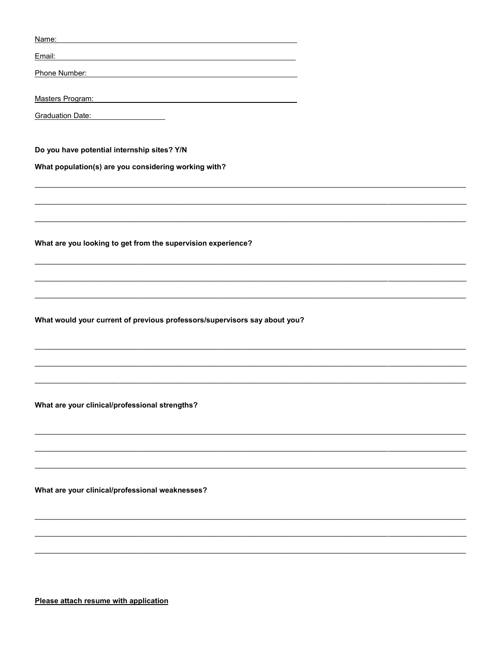| Name:                                                                                                                                                                                                                          |
|--------------------------------------------------------------------------------------------------------------------------------------------------------------------------------------------------------------------------------|
| Email:                                                                                                                                                                                                                         |
| Phone Number:                                                                                                                                                                                                                  |
| Masters Program: Masters Program: Website and Contract Contract Contract Contract Contract Contract Contract Contract Contract Contract Contract Contract Contract Contract Contract Contract Contract Contract Contract Contr |
| Graduation Date:<br><u> 1980 - Johann Barbara, martin a</u>                                                                                                                                                                    |
|                                                                                                                                                                                                                                |
| Do you have potential internship sites? Y/N                                                                                                                                                                                    |
| What population(s) are you considering working with?                                                                                                                                                                           |
|                                                                                                                                                                                                                                |
|                                                                                                                                                                                                                                |
| What are you looking to get from the supervision experience?                                                                                                                                                                   |
|                                                                                                                                                                                                                                |
|                                                                                                                                                                                                                                |
|                                                                                                                                                                                                                                |
| What would your current of previous professors/supervisors say about you?                                                                                                                                                      |
|                                                                                                                                                                                                                                |
|                                                                                                                                                                                                                                |
|                                                                                                                                                                                                                                |
| What are your clinical/professional strengths?                                                                                                                                                                                 |
|                                                                                                                                                                                                                                |
|                                                                                                                                                                                                                                |
|                                                                                                                                                                                                                                |
|                                                                                                                                                                                                                                |
| What are your clinical/professional weaknesses?                                                                                                                                                                                |
|                                                                                                                                                                                                                                |
|                                                                                                                                                                                                                                |
|                                                                                                                                                                                                                                |
|                                                                                                                                                                                                                                |

Please attach resume with application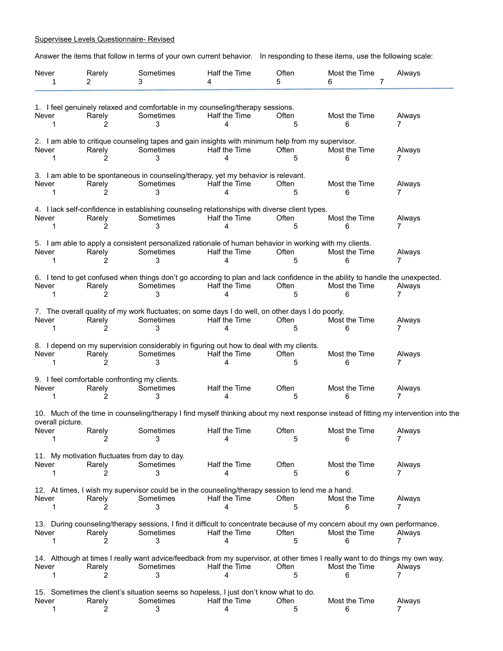## Supervisee Levels Questionnaire- Revised

Answer the items that follow in terms of your own current behavior. In responding to these items, use the following scale:

| Never<br>1                     | Rarely<br>2                                             | Sometimes<br>3 | Half the Time<br>4                                                                                                            | Often<br>5 | Most the Time<br>7<br>6                                                                                                                             | Always      |
|--------------------------------|---------------------------------------------------------|----------------|-------------------------------------------------------------------------------------------------------------------------------|------------|-----------------------------------------------------------------------------------------------------------------------------------------------------|-------------|
| Never                          | Rarely                                                  | Sometimes      | 1. I feel genuinely relaxed and comfortable in my counseling/therapy sessions.<br>Half the Time                               | Often      | Most the Time                                                                                                                                       | Always      |
| 1                              |                                                         | 3              | 4                                                                                                                             | 5          | 6                                                                                                                                                   | 7           |
| Never<br>1                     | Rarely                                                  | Sometimes<br>3 | 2. I am able to critique counseling tapes and gain insights with minimum help from my supervisor.<br>Half the Time<br>4       | Often<br>5 | Most the Time<br>6                                                                                                                                  | Always      |
| Never<br>1                     | Rarely                                                  | Sometimes<br>3 | 3. I am able to be spontaneous in counseling/therapy, yet my behavior is relevant.<br>Half the Time<br>4                      | Often<br>5 | Most the Time<br>6                                                                                                                                  | Always      |
| Never<br>1                     | Rarely                                                  | Sometimes<br>3 | 4. I lack self-confidence in establishing counseling relationships with diverse client types.<br>Half the Time<br>4           | Often<br>5 | Most the Time<br>6                                                                                                                                  | Always      |
| Never<br>1                     | Rarely                                                  | Sometimes<br>3 | 5. I am able to apply a consistent personalized rationale of human behavior in working with my clients.<br>Half the Time<br>4 | Often<br>5 | Most the Time                                                                                                                                       | Always      |
| Never<br>1                     | Rarely                                                  | Sometimes<br>3 | Half the Time<br>4                                                                                                            | Often<br>5 | 6. I tend to get confused when things don't go according to plan and lack confidence in the ability to handle the unexpected.<br>Most the Time<br>6 | Always      |
| Never<br>1                     | Rarely                                                  | Sometimes<br>3 | 7. The overall quality of my work fluctuates; on some days I do well, on other days I do poorly.<br>Half the Time<br>4        | Often<br>5 | Most the Time<br>6                                                                                                                                  | Always      |
| Never<br>1                     | Rarely<br>2                                             | Sometimes<br>3 | 8. I depend on my supervision considerably in figuring out how to deal with my clients.<br>Half the Time<br>4                 | Often<br>5 | Most the Time<br>6                                                                                                                                  | Always<br>7 |
| Never                          | 9. I feel comfortable confronting my clients.<br>Rarely | Sometimes<br>3 | Half the Time<br>4                                                                                                            | Often<br>5 | Most the Time<br>6                                                                                                                                  | Always      |
|                                |                                                         |                |                                                                                                                               |            | 10. Much of the time in counseling/therapy I find myself thinking about my next response instead of fitting my intervention into the                |             |
| overall picture.<br>Never<br>1 | Rarely<br>2                                             | Sometimes<br>3 | Half the Time<br>4                                                                                                            | Often<br>5 | Most the Time<br>6                                                                                                                                  | Always<br>7 |
| Never<br>1                     | 11. My motivation fluctuates from day to day.<br>Rarely | Sometimes<br>3 | Half the Time<br>4                                                                                                            | Often<br>5 | Most the Time<br>6                                                                                                                                  | Always      |
| Never                          | Rarely                                                  | Sometimes<br>3 | 12. At times, I wish my supervisor could be in the counseling/therapy session to lend me a hand.<br>Half the Time<br>4        | Often<br>5 | Most the Time<br>6                                                                                                                                  | Always      |
| Never                          | Rarely                                                  | Sometimes<br>3 | Half the Time<br>4                                                                                                            | Often<br>5 | 13. During counseling/therapy sessions, I find it difficult to concentrate because of my concern about my own performance.<br>Most the Time<br>6    | Always      |
| Never                          | Rarely                                                  | Sometimes<br>3 | Half the Time<br>4                                                                                                            | Often<br>5 | 14. Although at times I really want advice/feedback from my supervisor, at other times I really want to do things my own way.<br>Most the Time<br>6 | Always<br>7 |
| Never<br>1                     | Rarely<br>2                                             | Sometimes<br>3 | 15. Sometimes the client's situation seems so hopeless, I just don't know what to do.<br>Half the Time<br>4                   | Often<br>5 | Most the Time<br>6                                                                                                                                  | Always      |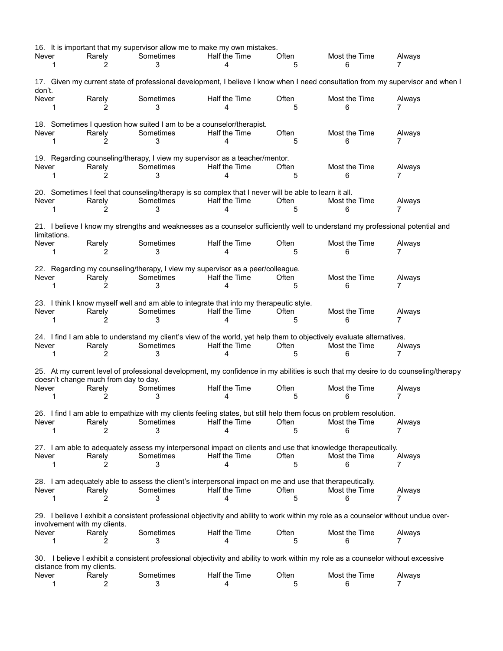| Never<br>1                                                                                                                                    |                                                                                                                                                                | Rarely<br>2                          | Sometimes<br>3                                                                          | 16. It is important that my supervisor allow me to make my own mistakes.<br>Half the Time<br>4                                              | Often<br>5 | Most the Time<br>6 | Always<br>7 |  |  |  |
|-----------------------------------------------------------------------------------------------------------------------------------------------|----------------------------------------------------------------------------------------------------------------------------------------------------------------|--------------------------------------|-----------------------------------------------------------------------------------------|---------------------------------------------------------------------------------------------------------------------------------------------|------------|--------------------|-------------|--|--|--|
| 17. Given my current state of professional development, I believe I know when I need consultation from my supervisor and when I<br>don't.     |                                                                                                                                                                |                                      |                                                                                         |                                                                                                                                             |            |                    |             |  |  |  |
| Never<br>1                                                                                                                                    |                                                                                                                                                                | Rarely<br>2                          | Sometimes<br>3                                                                          | Half the Time<br>4                                                                                                                          | Often<br>5 | Most the Time<br>6 | Always      |  |  |  |
| Never<br>1                                                                                                                                    |                                                                                                                                                                | Rarely<br>2                          | 18. Sometimes I question how suited I am to be a counselor/therapist.<br>Sometimes<br>3 | Half the Time<br>4                                                                                                                          | Often<br>5 | Most the Time<br>6 | Always<br>7 |  |  |  |
| Never<br>1                                                                                                                                    |                                                                                                                                                                | Rarely                               | Sometimes<br>3                                                                          | 19. Regarding counseling/therapy, I view my supervisor as a teacher/mentor.<br>Half the Time<br>4                                           | Often<br>5 | Most the Time<br>6 | Always      |  |  |  |
| Never<br>1                                                                                                                                    |                                                                                                                                                                | Rarely<br>2                          | Sometimes<br>3                                                                          | 20. Sometimes I feel that counseling/therapy is so complex that I never will be able to learn it all.<br>Half the Time<br>4                 | Often<br>5 | Most the Time<br>6 | Always<br>7 |  |  |  |
| 21. I believe I know my strengths and weaknesses as a counselor sufficiently well to understand my professional potential and<br>limitations. |                                                                                                                                                                |                                      |                                                                                         |                                                                                                                                             |            |                    |             |  |  |  |
| Never<br>1                                                                                                                                    |                                                                                                                                                                | Rarely<br>2                          | Sometimes<br>3                                                                          | Half the Time<br>4                                                                                                                          | Often<br>5 | Most the Time<br>6 | Always<br>7 |  |  |  |
| Never<br>1                                                                                                                                    |                                                                                                                                                                | Rarely<br>2                          | Sometimes<br>3                                                                          | 22. Regarding my counseling/therapy, I view my supervisor as a peer/colleague.<br>Half the Time<br>4                                        | Often<br>5 | Most the Time<br>6 | Always<br>7 |  |  |  |
| Never<br>1                                                                                                                                    |                                                                                                                                                                | Rarely                               | Sometimes<br>3                                                                          | 23. I think I know myself well and am able to integrate that into my therapeutic style.<br>Half the Time<br>4                               | Often<br>5 | Most the Time<br>6 | Always<br>7 |  |  |  |
| Never<br>1                                                                                                                                    |                                                                                                                                                                | Rarely<br>2                          | Sometimes<br>3                                                                          | 24. I find I am able to understand my client's view of the world, yet help them to objectively evaluate alternatives.<br>Half the Time<br>4 | Often<br>5 | Most the Time<br>6 | Always<br>7 |  |  |  |
|                                                                                                                                               |                                                                                                                                                                | doesn't change much from day to day. |                                                                                         | 25. At my current level of professional development, my confidence in my abilities is such that my desire to do counseling/therapy          |            |                    |             |  |  |  |
| Never<br>1                                                                                                                                    |                                                                                                                                                                | Rarely                               | Sometimes<br>3                                                                          | Half the Time                                                                                                                               | Often<br>5 | Most the Time<br>6 | Always<br>7 |  |  |  |
| Never                                                                                                                                         |                                                                                                                                                                | Rarely                               | Sometimes                                                                               | 26. I find I am able to empathize with my clients feeling states, but still help them focus on problem resolution.<br>Half the Time         | Often<br>5 | Most the Time<br>6 | Always      |  |  |  |
| Never                                                                                                                                         |                                                                                                                                                                | Rarely                               | Sometimes<br>З                                                                          | 27. I am able to adequately assess my interpersonal impact on clients and use that knowledge therapeutically.<br>Half the Time<br>4         | Often<br>5 | Most the Time<br>6 | Always      |  |  |  |
| Never                                                                                                                                         |                                                                                                                                                                | Rarely                               | Sometimes                                                                               | 28. I am adequately able to assess the client's interpersonal impact on me and use that therapeutically.<br>Half the Time                   | Often<br>5 | Most the Time<br>6 | Always<br>7 |  |  |  |
|                                                                                                                                               |                                                                                                                                                                | involvement with my clients.         |                                                                                         | 29. I believe I exhibit a consistent professional objectivity and ability to work within my role as a counselor without undue over-         |            |                    |             |  |  |  |
| Never                                                                                                                                         |                                                                                                                                                                | Rarely                               | Sometimes<br>3                                                                          | Half the Time                                                                                                                               | Often<br>5 | Most the Time<br>6 | Always      |  |  |  |
|                                                                                                                                               | 30. I believe I exhibit a consistent professional objectivity and ability to work within my role as a counselor without excessive<br>distance from my clients. |                                      |                                                                                         |                                                                                                                                             |            |                    |             |  |  |  |
| Never<br>1                                                                                                                                    |                                                                                                                                                                | Rarely                               | Sometimes<br>3                                                                          | Half the Time<br>4                                                                                                                          | Often<br>5 | Most the Time<br>6 | Always      |  |  |  |